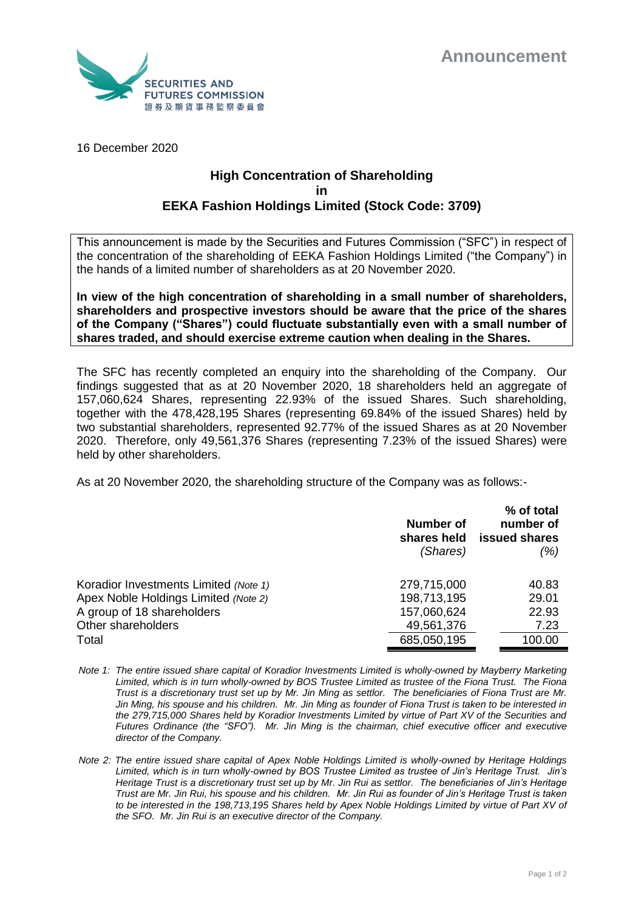

16 December 2020

## **High Concentration of Shareholding in EEKA Fashion Holdings Limited (Stock Code: 3709)**

This announcement is made by the Securities and Futures Commission ("SFC") in respect of the concentration of the shareholding of EEKA Fashion Holdings Limited ("the Company") in the hands of a limited number of shareholders as at 20 November 2020.

**In view of the high concentration of shareholding in a small number of shareholders, shareholders and prospective investors should be aware that the price of the shares of the Company ("Shares") could fluctuate substantially even with a small number of shares traded, and should exercise extreme caution when dealing in the Shares.**

The SFC has recently completed an enquiry into the shareholding of the Company. Our findings suggested that as at 20 November 2020, 18 shareholders held an aggregate of 157,060,624 Shares, representing 22.93% of the issued Shares. Such shareholding, together with the 478,428,195 Shares (representing 69.84% of the issued Shares) held by two substantial shareholders, represented 92.77% of the issued Shares as at 20 November 2020. Therefore, only 49,561,376 Shares (representing 7.23% of the issued Shares) were held by other shareholders.

As at 20 November 2020, the shareholding structure of the Company was as follows:-

|                                       | Number of<br>(Shares) | % of total<br>number of<br>shares held issued shares<br>(%) |
|---------------------------------------|-----------------------|-------------------------------------------------------------|
| Koradior Investments Limited (Note 1) | 279,715,000           | 40.83                                                       |
| Apex Noble Holdings Limited (Note 2)  | 198,713,195           | 29.01                                                       |
| A group of 18 shareholders            | 157,060,624           | 22.93                                                       |
| Other shareholders                    | 49,561,376            | 7.23                                                        |
| Total                                 | 685,050,195           | 100.00                                                      |

*Note 1: The entire issued share capital of Koradior Investments Limited is wholly-owned by Mayberry Marketing Limited, which is in turn wholly-owned by BOS Trustee Limited as trustee of the Fiona Trust. The Fiona Trust is a discretionary trust set up by Mr. Jin Ming as settlor. The beneficiaries of Fiona Trust are Mr. Jin Ming, his spouse and his children. Mr. Jin Ming as founder of Fiona Trust is taken to be interested in the 279,715,000 Shares held by Koradior Investments Limited by virtue of Part XV of the Securities and Futures Ordinance (the "SFO"). Mr. Jin Ming is the chairman, chief executive officer and executive director of the Company.*

*Note 2: The entire issued share capital of Apex Noble Holdings Limited is wholly-owned by Heritage Holdings Limited, which is in turn wholly-owned by BOS Trustee Limited as trustee of Jin's Heritage Trust. Jin's Heritage Trust is a discretionary trust set up by Mr. Jin Rui as settlor. The beneficiaries of Jin's Heritage Trust are Mr. Jin Rui, his spouse and his children. Mr. Jin Rui as founder of Jin's Heritage Trust is taken to be interested in the 198,713,195 Shares held by Apex Noble Holdings Limited by virtue of Part XV of the SFO. Mr. Jin Rui is an executive director of the Company.*